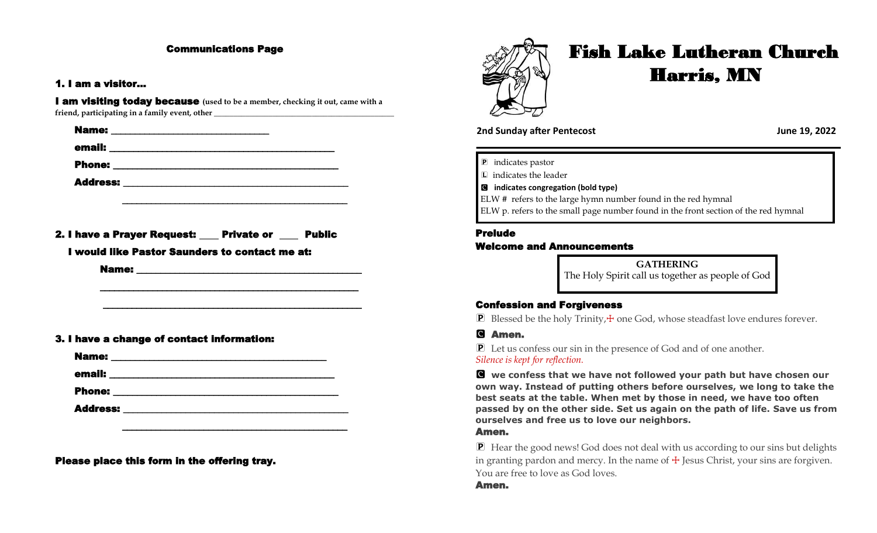### Communications Page

### 1. I am a visitor…

**I am visiting today because** (used to be a member, checking it out, came with a **friend, participating in a family event, other \_\_\_\_\_\_\_\_\_\_\_\_\_\_\_\_\_\_\_\_\_\_\_\_\_\_\_\_\_\_\_\_\_\_\_\_\_\_\_\_\_\_\_\_\_\_**

| <b>Name:</b>  |  |
|---------------|--|
| email:        |  |
| <b>Phone:</b> |  |

Address: \_\_\_\_\_\_\_\_\_\_\_\_\_\_\_\_\_\_\_\_\_\_\_\_\_\_\_\_\_\_\_\_\_\_\_\_\_\_\_\_\_\_\_\_\_\_\_

2. I have a Prayer Request: Private or Public

 $\overline{\phantom{a}}$  ,  $\overline{\phantom{a}}$  ,  $\overline{\phantom{a}}$  ,  $\overline{\phantom{a}}$  ,  $\overline{\phantom{a}}$  ,  $\overline{\phantom{a}}$  ,  $\overline{\phantom{a}}$  ,  $\overline{\phantom{a}}$  ,  $\overline{\phantom{a}}$  ,  $\overline{\phantom{a}}$  ,  $\overline{\phantom{a}}$  ,  $\overline{\phantom{a}}$  ,  $\overline{\phantom{a}}$  ,  $\overline{\phantom{a}}$  ,  $\overline{\phantom{a}}$  ,  $\overline{\phantom{a}}$ 

 $\overline{\phantom{a}}$  ,  $\overline{\phantom{a}}$  ,  $\overline{\phantom{a}}$  ,  $\overline{\phantom{a}}$  ,  $\overline{\phantom{a}}$  ,  $\overline{\phantom{a}}$  ,  $\overline{\phantom{a}}$  ,  $\overline{\phantom{a}}$  ,  $\overline{\phantom{a}}$  ,  $\overline{\phantom{a}}$  ,  $\overline{\phantom{a}}$  ,  $\overline{\phantom{a}}$  ,  $\overline{\phantom{a}}$  ,  $\overline{\phantom{a}}$  ,  $\overline{\phantom{a}}$  ,  $\overline{\phantom{a}}$ 

 $\blacksquare$ 

\_\_\_\_\_\_\_\_\_\_\_\_\_\_\_\_\_\_\_\_\_\_\_\_\_\_\_\_\_\_\_\_\_\_\_\_\_\_\_\_\_\_\_\_\_\_\_

I would like Pastor Saunders to contact me at:

Name: \_\_\_\_\_\_\_\_\_\_\_\_\_\_\_\_\_\_\_\_\_\_\_\_\_\_\_\_\_\_\_\_\_\_\_\_\_\_\_\_\_\_\_\_\_\_\_

3. I have a change of contact information:

Name: \_\_\_\_\_\_\_\_\_\_\_\_\_\_\_\_\_\_\_\_\_\_\_\_\_\_\_\_\_\_\_\_\_\_\_\_\_\_\_\_\_\_\_\_\_

email: **Exercise Exercise Exercise Exercise Exercise Exercise Exercise Exercise Exercise Exercise Exercise Exercise** 

Phone: \_\_\_\_\_\_\_\_\_\_\_\_\_\_\_\_\_\_\_\_\_\_\_\_\_\_\_\_\_\_\_\_\_\_\_\_\_\_\_\_\_\_\_\_\_\_\_

Address: \_\_\_\_\_\_\_\_\_\_\_\_\_\_\_\_\_\_\_\_\_\_\_\_\_\_\_\_\_\_\_\_\_\_\_\_\_\_\_\_\_\_\_\_\_\_\_

Please place this form in the offering tray.



# Fish Lake Lutheran Church Harris, MN

**2nd Sunday after Pentecost** June 19, 2022

P indicates pastor

L indicates the leader

C **indicates congregation (bold type)**

ELW # refers to the large hymn number found in the red hymnal

ELW p. refers to the small page number found in the front section of the red hymnal

# Prelude

### Welcome and Announcements

**GATHERING** The Holy Spirit call us together as people of God

### Confession and Forgiveness

**P** Blessed be the holy Trinity, **+** one God, whose steadfast love endures forever.

# C Amen.

P Let us confess our sin in the presence of God and of one another. *Silence is kept for reflection.*

C **we confess that we have not followed your path but have chosen our own way. Instead of putting others before ourselves, we long to take the best seats at the table. When met by those in need, we have too often passed by on the other side. Set us again on the path of life. Save us from ourselves and free us to love our neighbors.**

### Amen.

**P** Hear the good news! God does not deal with us according to our sins but delights in granting pardon and mercy. In the name of  $\pm$  Jesus Christ, your sins are forgiven. You are free to love as God loves.

Amen.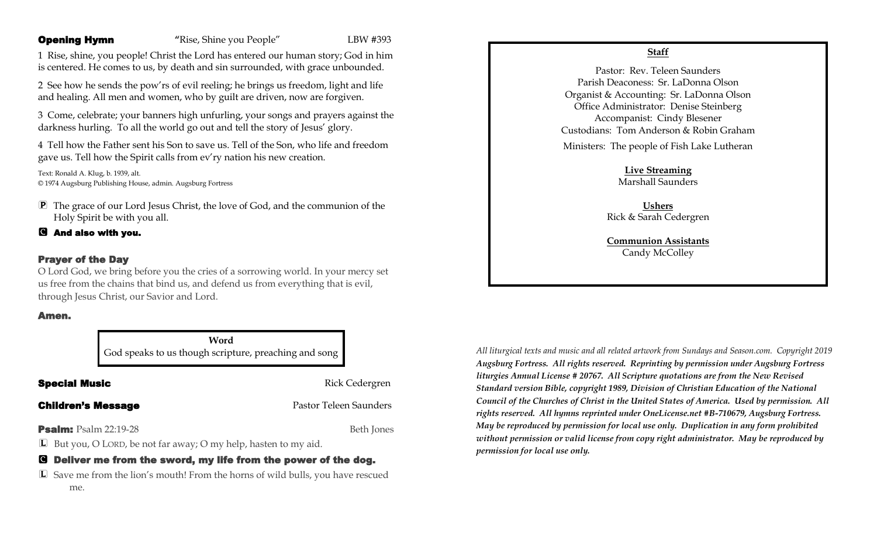### **Opening Hymn**  $\text{"Rise, Shine you People"}$  LBW #393

1 Rise, shine, you people! Christ the Lord has entered our human story; God in him is centered. He comes to us, by death and sin surrounded, with grace unbounded.

2 See how he sends the pow'rs of evil reeling; he brings us freedom, light and life and healing. All men and women, who by guilt are driven, now are forgiven.

3 Come, celebrate; your banners high unfurling, your songs and prayers against the darkness hurling. To all the world go out and tell the story of Jesus' glory.

4 Tell how the Father sent his Son to save us. Tell of the Son, who life and freedom gave us. Tell how the Spirit calls from ev'ry nation his new creation.

Text: Ronald A. Klug, b. 1939, alt. © 1974 Augsburg Publishing House, admin. Augsburg Fortress

P The grace of our Lord Jesus Christ, the love of God, and the communion of the Holy Spirit be with you all.

C And also with you.

### Prayer of the Day

O Lord God, we bring before you the cries of a sorrowing world. In your mercy set us free from the chains that bind us, and defend us from everything that is evil, through Jesus Christ, our Savior and Lord.

### Amen.

**Word**

### Special Music **Special Music Rick Cedergren**

**Children's Message Saunders** Pastor Teleen Saunders

**Psalm:** Psalm 22:19-28 **Beth Jones** Beth Jones

L But you, O LORD, be not far away; O my help, hasten to my aid.

## C Deliver me from the sword, my life from the power of the dog.

L Save me from the lion's mouth! From the horns of wild bulls, you have rescued me.

Office Administrator: Denise Steinberg Accompanist: Cindy Blesener Custodians: Tom Anderson & Robin Graham

Ministers: The people of Fish Lake Lutheran

### **Live Streaming**

Marshall Saunders

**Ushers** Rick & Sarah Cedergren

**Communion Assistants** Candy McColley

God speaks to us though scripture, preaching and song **and the act and all liturgical texts and music and all related artwork from Sundays and Season.com. Copyright 2019** *Augsburg Fortress. All rights reserved. Reprinting by permission under Augsburg Fortress liturgies Annual License # 20767. All Scripture quotations are from the New Revised Standard version Bible, copyright 1989, Division of Christian Education of the National Council of the Churches of Christ in the United States of America. Used by permission. All rights reserved. All hymns reprinted under OneLicense.net #B-710679, Augsburg Fortress. May be reproduced by permission for local use only. Duplication in any form prohibited without permission or valid license from copy right administrator. May be reproduced by permission for local use only.*

**Staff**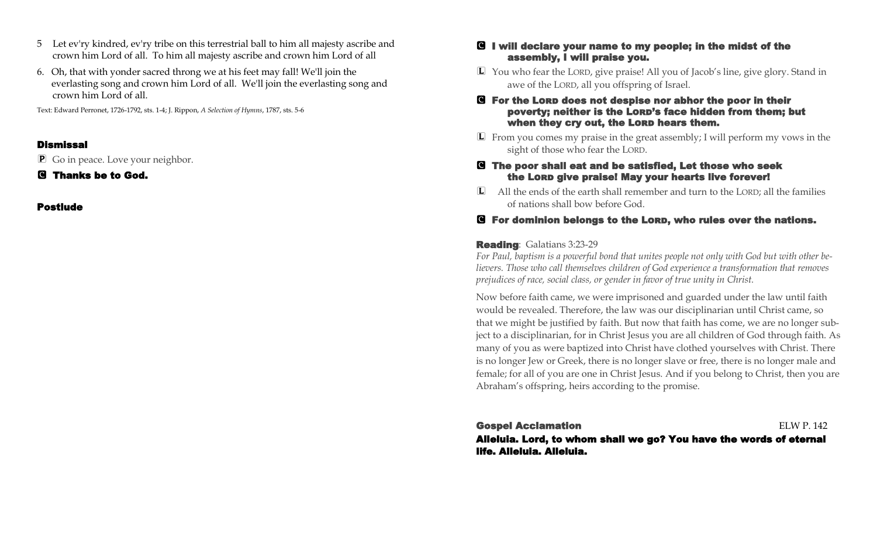- 5 Let ev'ry kindred, ev'ry tribe on this terrestrial ball to him all majesty ascribe and crown him Lord of all. To him all majesty ascribe and crown him Lord of all
- 6. Oh, that with yonder sacred throng we at his feet may fall! We'll join the everlasting song and crown him Lord of all. We'll join the everlasting song and crown him Lord of all.

Text: Edward Perronet, 1726-1792, sts. 1-4; J. Rippon, *A Selection of Hymns*, 1787, sts. 5-6

### **Dismissal**

P Go in peace. Love your neighbor.

C Thanks be to God.

## Postlude

### C I will declare your name to my people; in the midst of the assembly, I will praise you.

 L You who fear the LORD, give praise! All you of Jacob's line, give glory. Stand in awe of the LORD, all you offspring of Israel.

### C For the Lord does not despise nor abhor the poor in their poverty; neither is the Lorp's face hidden from them; but when they cry out, the Lord hears them.

 $\Box$  From you comes my praise in the great assembly; I will perform my vows in the sight of those who fear the LORD.

### C The poor shall eat and be satisfied, Let those who seek the Lorp give praise! May your hearts live forever!

L All the ends of the earth shall remember and turn to the LORD; all the families of nations shall bow before God.

# C For dominion belongs to the Lord, who rules over the nations.

## Reading: Galatians 3:23-29

*For Paul, baptism is a powerful bond that unites people not only with God but with other believers. Those who call themselves children of God experience a transformation that removes prejudices of race, social class, or gender in favor of true unity in Christ.*

Now before faith came, we were imprisoned and guarded under the law until faith would be revealed. Therefore, the law was our disciplinarian until Christ came, so that we might be justified by faith. But now that faith has come, we are no longer subject to a disciplinarian, for in Christ Jesus you are all children of God through faith. As many of you as were baptized into Christ have clothed yourselves with Christ. There is no longer Jew or Greek, there is no longer slave or free, there is no longer male and female; for all of you are one in Christ Jesus. And if you belong to Christ, then you are Abraham's offspring, heirs according to the promise.

# Gospel Acclamation **ELW P. 142**

Alleluia. Lord, to whom shall we go? You have the words of eternal life. Alleluia. Alleluia.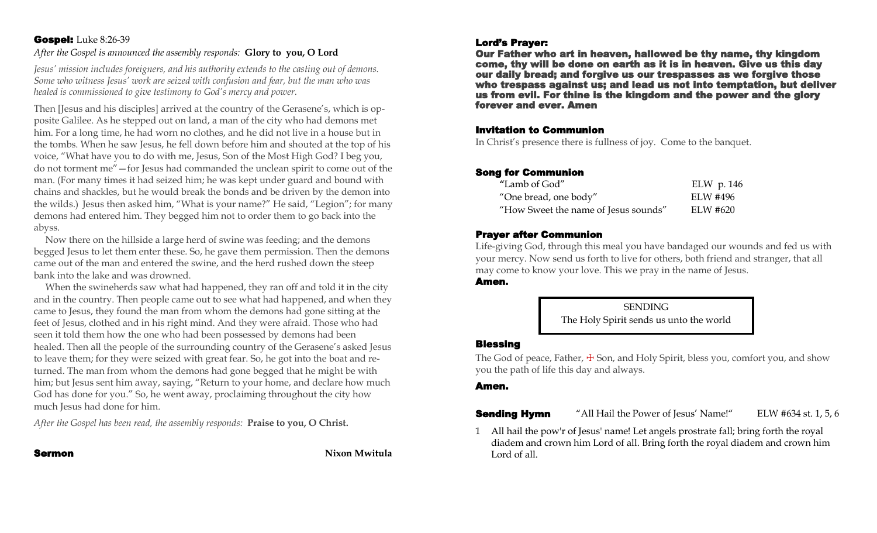### **Gospel:** Luke 8:26-39

*After the Gospel is announced the assembly responds:* **Glory to you, O Lord**

*Jesus' mission includes foreigners, and his authority extends to the casting out of demons. Some who witness Jesus' work are seized with confusion and fear, but the man who was healed is commissioned to give testimony to God's mercy and power.*

Then [Jesus and his disciples] arrived at the country of the Gerasene's, which is opposite Galilee. As he stepped out on land, a man of the city who had demons met him. For a long time, he had worn no clothes, and he did not live in a house but in the tombs. When he saw Jesus, he fell down before him and shouted at the top of his voice, "What have you to do with me, Jesus, Son of the Most High God? I beg you, do not torment me"—for Jesus had commanded the unclean spirit to come out of the man. (For many times it had seized him; he was kept under guard and bound with chains and shackles, but he would break the bonds and be driven by the demon into the wilds.) Jesus then asked him, "What is your name?" He said, "Legion"; for many demons had entered him. They begged him not to order them to go back into the abyss.

Now there on the hillside a large herd of swine was feeding; and the demons begged Jesus to let them enter these. So, he gave them permission. Then the demons came out of the man and entered the swine, and the herd rushed down the steep bank into the lake and was drowned.

When the swineherds saw what had happened, they ran off and told it in the city and in the country. Then people came out to see what had happened, and when they came to Jesus, they found the man from whom the demons had gone sitting at the feet of Jesus, clothed and in his right mind. And they were afraid. Those who had seen it told them how the one who had been possessed by demons had been healed. Then all the people of the surrounding country of the Gerasene's asked Jesus to leave them; for they were seized with great fear. So, he got into the boat and returned. The man from whom the demons had gone begged that he might be with him; but Jesus sent him away, saying, "Return to your home, and declare how much God has done for you." So, he went away, proclaiming throughout the city how much Jesus had done for him.

*After the Gospel has been read, the assembly responds:* **Praise to you, O Christ.**

Sermon **Nixon Mwitula** 

### Lord's Prayer:

Our Father who art in heaven, hallowed be thy name, thy kingdom come, thy will be done on earth as it is in heaven. Give us this day our daily bread; and forgive us our trespasses as we forgive those who trespass against us; and lead us not into temptation, but deliver us from evil. For thine is the kingdom and the power and the glory forever and ever. Amen

### Invitation to Communion

In Christ's presence there is fullness of joy. Come to the banquet.

### Song for Communion

| "Lamb of God"                        | ELW p. 146 |
|--------------------------------------|------------|
| "One bread, one body"                | ELW #496   |
| "How Sweet the name of Jesus sounds" | $ELM$ #620 |

### Prayer after Communion

Life-giving God, through this meal you have bandaged our wounds and fed us with your mercy. Now send us forth to live for others, both friend and stranger, that all may come to know your love. This we pray in the name of Jesus.

### Amen.

**SENDING** 

The Holy Spirit sends us unto the world

## Blessing

The God of peace, Father,  $\pm$  Son, and Holy Spirit, bless you, comfort you, and show you the path of life this day and always.

Amen.

**Sending Hymn** "All Hail the Power of Jesus' Name!" ELW #634 st. 1, 5, 6

1 All hail the pow'r of Jesus' name! Let angels prostrate fall; bring forth the royal diadem and crown him Lord of all. Bring forth the royal diadem and crown him Lord of all.